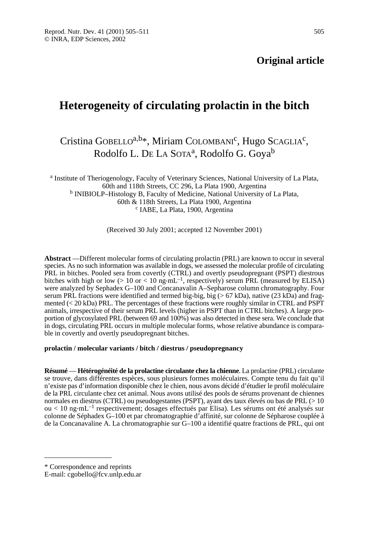# **Original article**

# **Heterogeneity of circulating prolactin in the bitch**

# Cristina GOBELLO<sup>a,b\*</sup>, Miriam COLOMBANI<sup>c</sup>, Hugo SCAGLIA<sup>c</sup>, Rodolfo L. DE LA SOTA<sup>a</sup>, Rodolfo G. Goya<sup>b</sup>

<sup>a</sup> Institute of Theriogenology, Faculty of Veterinary Sciences, National University of La Plata, 60th and 118th Streets, CC 296, La Plata 1900, Argentina <sup>b</sup> INIBIOLP–Histology B, Faculty of Medicine, National University of La Plata, 60th & 118th Streets, La Plata 1900, Argentina c IABE, La Plata, 1900, Argentina

(Received 30 July 2001; accepted 12 November 2001)

**Abstract** —Different molecular forms of circulating prolactin (PRL) are known to occur in several species. As no such information was available in dogs, we assessed the molecular profile of circulating PRL in bitches. Pooled sera from covertly (CTRL) and overtly pseudopregnant (PSPT) diestrous bitches with high or low ( $> 10$  or  $< 10$  ng $\cdot$ mL<sup>-1</sup>, respectively) serum PRL (measured by ELISA) were analyzed by Sephadex G–100 and Concanavalin A–Sepharose column chromatography. Four serum PRL fractions were identified and termed big-big, big (> 67 kDa), native (23 kDa) and fragmented (< 20 kDa) PRL. The percentages of these fractions were roughly similar in CTRL and PSPT animals, irrespective of their serum PRL levels (higher in PSPT than in CTRL bitches). A large proportion of glycosylated PRL (between 69 and 100%) was also detected in these sera. We conclude that in dogs, circulating PRL occurs in multiple molecular forms, whose relative abundance is comparable in covertly and overtly pseudopregnant bitches.

## **prolactin / molecular variants / bitch / diestrus / pseudopregnancy**

**Résumé** — **Hétérogénéité de la prolactine circulante chez la chienne**. La prolactine (PRL) circulante se trouve, dans différentes espèces, sous plusieurs formes moléculaires. Compte tenu du fait qu'il n'existe pas d'information disponible chez le chien, nous avons décidé d'étudier le profil moléculaire de la PRL circulante chez cet animal. Nous avons utilisé des pools de sérums provenant de chiennes normales en diestrus (CTRL) ou pseudogestantes (PSPT), ayant des taux élevés ou bas de PRL (> 10 ou < 10 ng.mL–1 respectivement; dosages effectués par Elisa). Les sérums ont été analysés sur colonne de Séphadex G–100 et par chromatographie d'affinité, sur colonne de Sépharose couplée à de la Concanavaline A. La chromatographie sur G–100 a identifié quatre fractions de PRL, qui ont

<sup>\*</sup> Correspondence and reprints

E-mail: cgobello@fcv.unlp.edu.ar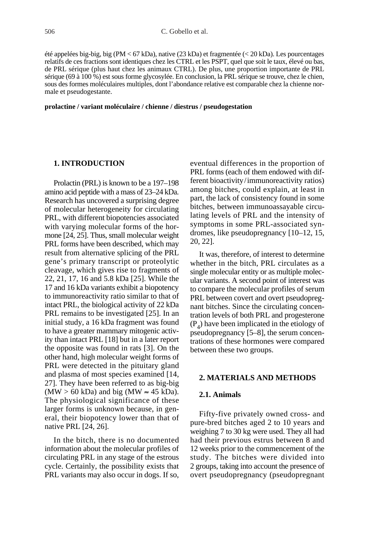été appelées big-big, big (PM < 67 kDa), native (23 kDa) et fragmentée (< 20 kDa). Les pourcentages relatifs de ces fractions sont identiques chez les CTRL et les PSPT, quel que soit le taux, élevé ou bas, de PRL sérique (plus haut chez les animaux CTRL). De plus, une proportion importante de PRL sérique (69 à 100 %) est sous forme glycosylée. En conclusion, la PRL sérique se trouve, chez le chien, sous des formes moléculaires multiples, dont l'abondance relative est comparable chez la chienne normale et pseudogestante.

#### **prolactine / variant moléculaire / chienne / diestrus / pseudogestation**

## **1. INTRODUCTION**

Prolactin (PRL) is known to be a 197–198 amino acid peptide with a mass of 23–24 kDa. Research has uncovered a surprising degree of molecular heterogeneity for circulating PRL, with different biopotencies associated with varying molecular forms of the hormone [24, 25]. Thus, small molecular weight PRL forms have been described, which may result from alternative splicing of the PRL gene's primary transcript or proteolytic cleavage, which gives rise to fragments of 22, 21, 17, 16 and 5.8 kDa [25]. While the 17 and 16 kDa variants exhibit a biopotency to immunoreactivity ratio similar to that of intact PRL, the biological activity of 22 kDa PRL remains to be investigated [25]. In an initial study, a 16 kDa fragment was found to have a greater mammary mitogenic activity than intact PRL [18] but in a later report the opposite was found in rats [3]. On the other hand, high molecular weight forms of PRL were detected in the pituitary gland and plasma of most species examined [14, 27]. They have been referred to as big-big  $(MW > 60$  kDa) and big  $(MW \approx 45$  kDa). The physiological significance of these larger forms is unknown because, in general, their biopotency lower than that of native PRL [24, 26].

In the bitch, there is no documented information about the molecular profiles of circulating PRL in any stage of the estrous cycle. Certainly, the possibility exists that PRL variants may also occur in dogs. If so, eventual differences in the proportion of PRL forms (each of them endowed with different bioactivity/immunoreactivity ratios) among bitches, could explain, at least in part, the lack of consistency found in some bitches, between immunoassayable circulating levels of PRL and the intensity of symptoms in some PRL-associated syndromes, like pseudopregnancy [10–12, 15, 20, 22].

It was, therefore, of interest to determine whether in the bitch, PRL circulates as a single molecular entity or as multiple molecular variants. A second point of interest was to compare the molecular profiles of serum PRL between covert and overt pseudopregnant bitches. Since the circulating concentration levels of both PRL and progesterone  $(P_4)$  have been implicated in the etiology of pseudopregnancy [5–8], the serum concentrations of these hormones were compared between these two groups.

## **2. MATERIALS AND METHODS**

### **2.1. Animals**

Fifty-five privately owned cross- and pure-bred bitches aged 2 to 10 years and weighing 7 to 30 kg were used. They all had had their previous estrus between 8 and 12 weeks prior to the commencement of the study. The bitches were divided into 2 groups, taking into account the presence of overt pseudopregnancy (pseudopregnant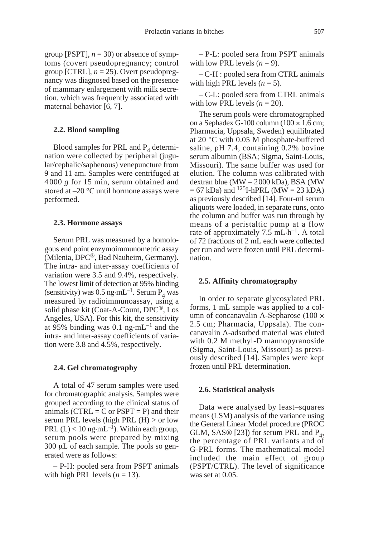group [PSPT],  $n = 30$ ) or absence of symptoms (covert pseudopregnancy; control group [CTRL], *n* = 25). Overt pseudopregnancy was diagnosed based on the presence of mammary enlargement with milk secretion, which was frequently associated with maternal behavior [6, 7].

#### **2.2. Blood sampling**

Blood samples for PRL and  $P_4$  determination were collected by peripheral (jugular/cephalic/saphenous) venepuncture from 9 and 11 am. Samples were centrifuged at 4000 *g* for 15 min, serum obtained and stored at –20 °C until hormone assays were performed.

#### **2.3. Hormone assays**

Serum PRL was measured by a homologous end point enzymoimmunometric assay (Milenia, DPC®, Bad Nauheim, Germany)*.* The intra- and inter-assay coefficients of variation were 3.5 and 9.4%, respectively. The lowest limit of detection at 95% binding (sensitivity) was 0.5 ng·mL<sup>-1</sup>. Serum  $P_4$  was measured by radioimmunoassay, using a solid phase kit (Coat-A-Count, DPC®, Los Angeles, USA). For this kit, the sensitivity at 95% binding was 0.1 ng $\cdot$ mL<sup>-1</sup> and the intra- and inter-assay coefficients of variation were 3.8 and 4.5%, respectively.

#### **2.4. Gel chromatography**

A total of 47 serum samples were used for chromatographic analysis. Samples were grouped according to the clinical status of animals (CTRL = C or  $PSPT = P$ ) and their serum PRL levels (high PRL  $(H)$  > or low PRL  $(L)$  < 10 ng·mL<sup>-1</sup>). Within each group, serum pools were prepared by mixing  $300 \mu L$  of each sample. The pools so generated were as follows:

– P-H: pooled sera from PSPT animals with high PRL levels  $(n = 13)$ .

– P-L: pooled sera from PSPT animals with low PRL levels  $(n = 9)$ .

– C-H : pooled sera from CTRL animals with high PRL levels  $(n = 5)$ .

– C-L: pooled sera from CTRL animals with low PRL levels  $(n = 20)$ .

The serum pools were chromatographed on a Sephadex G-100 column  $(100 \times 1.6 \text{ cm})$ ; Pharmacia, Uppsala, Sweden) equilibrated at 20 °C with 0.05 M phosphate-buffered saline, pH 7.4, containing 0.2% bovine serum albumin (BSA; Sigma, Saint-Louis, Missouri). The same buffer was used for elution. The column was calibrated with dextran blue ( $\text{MW} = 2000 \text{ kDa}$ ), BSA ( $\text{MW}$  $= 67$  kDa) and <sup>125</sup>I-hPRL (MW  $= 23$  kDA) as previously described [14]. Four-ml serum aliquots were loaded, in separate runs, onto the column and buffer was run through by means of a peristaltic pump at a flow rate of approximately 7.5 mL $\cdot$ h<sup>-1</sup>. A total of 72 fractions of 2 mL each were collected per run and were frozen until PRL determination.

#### **2.5. Affinity chromatography**

In order to separate glycosylated PRL forms, 1 mL sample was applied to a column of concanavalin A-Sepharose (100  $\times$ 2.5 cm; Pharmacia, Uppsala). The concanavalin A-adsorbed material was eluted with 0.2 M methyl-D mannopyranoside (Sigma, Saint-Louis, Missouri) as previously described [14]. Samples were kept frozen until PRL determination.

#### **2.6. Statistical analysis**

Data were analysed by least–squares means (LSM) analysis of the variance using the General Linear Model procedure (PROC GLM, SAS® [23]) for serum PRL and  $P_4$ , the percentage of PRL variants and of G-PRL forms. The mathematical model included the main effect of group (PSPT/CTRL). The level of significance was set at 0.05.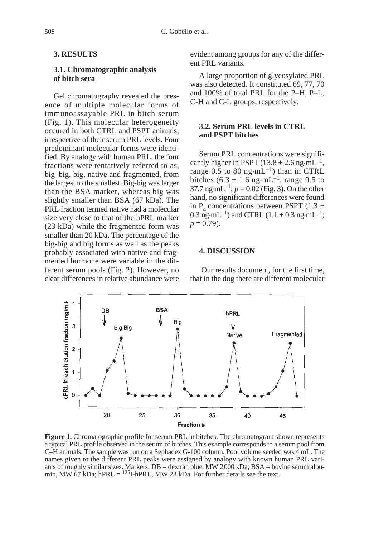# **3. RESULTS**

## **3.1. Chromatographic analysis of bitch sera**

Gel chromatography revealed the presence of multiple molecular forms of immunoassayable PRL in bitch serum (Fig. 1). This molecular heterogeneity occured in both CTRL and PSPT animals, irrespective of their serum PRL levels. Four predominant molecular forms were identified. By analogy with human PRL, the four fractions were tentatively referred to as, big–big, big, native and fragmented, from the largest to the smallest. Big-big was larger than the BSA marker, whereas big was slightly smaller than BSA (67 kDa). The PRL fraction termed native had a molecular size very close to that of the hPRL marker (23 kDa) while the fragmented form was smaller than 20 kDa. The percentage of the big-big and big forms as well as the peaks probably associated with native and fragmented hormone were variable in the different serum pools (Fig. 2). However, no clear differences in relative abundance were evident among groups for any of the different PRL variants.

A large proportion of glycosylated PRL was also detected. It constituted 69, 77, 70 and 100% of total PRL for the P–H, P–L, C-H and C-L groups, respectively.

## **3.2. Serum PRL levels in CTRL and PSPT bitches**

Serum PRL concentrations were significantly higher in PSPT (13.8  $\pm$  2.6 ng·mL<sup>-1</sup>, range  $0.5$  to  $80 \text{ ng} \cdot \text{mL}^{-1}$ ) than in CTRL bitches (6.3  $\pm$  1.6 ng·mL<sup>-1</sup>, range 0.5 to 37.7 ng·mL<sup>-1</sup>;  $p = 0.02$  (Fig. 3). On the other hand, no significant differences were found in P<sub>4</sub> concentrations between PSPT (1.3  $\pm$ 0.3 ng·mL<sup>-1</sup>) and CTRL (1.1  $\pm$  0.3 ng·mL<sup>-1</sup>;  $p = 0.79$ .

## **4. DISCUSSION**

Our results document, for the first time, that in the dog there are different molecular



**Figure 1.** Chromatographic profile for serum PRL in bitches. The chromatogram shown represents a typical PRL profile observed in the serum of bitches. This example corresponds to a serum pool from C–H animals. The sample was run on a Sephadex G-100 column. Pool volume seeded was 4 mL. The names given to the different PRL peaks were assigned by analogy with known human PRL variants of roughly similar sizes. Markers: DB = dextran blue, MW 2000 kDa; BSA = bovine serum albumin, MW 67 kDa; hPRL =  $^{125}I$ -hPRL, MW 23 kDa. For further details see the text.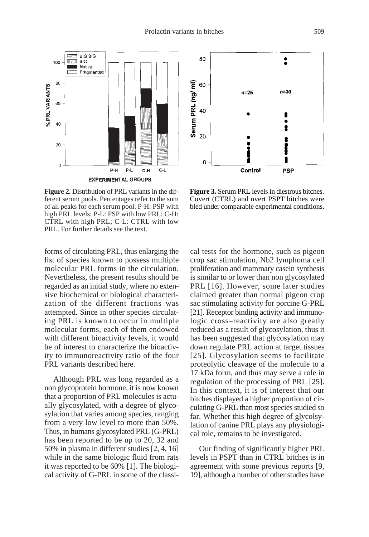

**Figure 2.** Distribution of PRL variants in the different serum pools. Percentages refer to the sum of all peaks for each serum pool. P-H: PSP with high PRL levels; P-L: PSP with low PRL; C-H: CTRL with high PRL; C-L: CTRL with low PRL. For further details see the text.

forms of circulating PRL, thus enlarging the list of species known to possess multiple molecular PRL forms in the circulation. Nevertheless, the present results should be regarded as an initial study, where no extensive biochemical or biological characterization of the different fractions was attempted. Since in other species circulating PRL is known to occur in multiple molecular forms, each of them endowed with different bioactivity levels, it would be of interest to characterize the bioactivity to immunoreactivity ratio of the four PRL variants described here.

Although PRL was long regarded as a non glycoprotein hormone, it is now known that a proportion of PRL molecules is actually glycosylated, with a degree of glycosylation that varies among species, ranging from a very low level to more than 50%. Thus, in humans glycosylated PRL (G-PRL) has been reported to be up to 20, 32 and 50% in plasma in different studies [2, 4, 16] while in the same biologic fluid from rats it was reported to be 60% [1]. The biological activity of G-PRL in some of the classi-

80  $\ddot{\bullet}$ Serum PRL (ng/ml) 60  $n=30$  $n=25$ 40  $\bullet$  $\bullet$ 20  $\Omega$ **PSP** Control

**Figure 3.** Serum PRL levels in diestrous bitches. Covert (CTRL) and overt PSPT bitches were bled under comparable experimental conditions.

cal tests for the hormone, such as pigeon crop sac stimulation, Nb2 lymphoma cell proliferation and mammary casein synthesis is similar to or lower than non glycosylated PRL [16]. However, some later studies claimed greater than normal pigeon crop sac stimulating activity for porcine G-PRL [21]. Receptor binding activity and immunologic cross–reactivity are also greatly reduced as a result of glycosylation, thus it has been suggested that glycosylation may down regulate PRL action at target tissues [25]. Glycosylation seems to facilitate proteolytic cleavage of the molecule to a 17 kDa form, and thus may serve a role in regulation of the processing of PRL [25]. In this context, it is of interest that our bitches displayed a higher proportion of circulating G-PRL than most species studied so far. Whether this high degree of glycolsylation of canine PRL plays any physiological role, remains to be investigated.

Our finding of significantly higher PRL levels in PSPT than in CTRL bitches is in agreement with some previous reports [9, 19], although a number of other studies have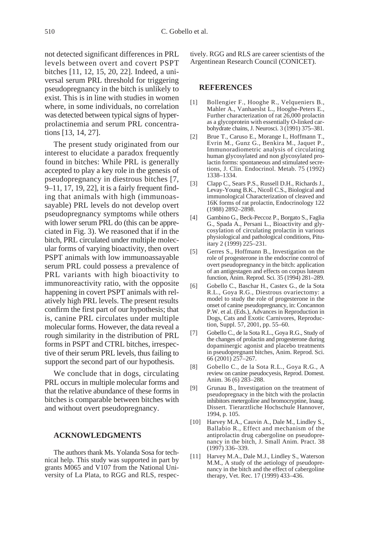not detected significant differences in PRL levels between overt and covert PSPT bitches [11, 12, 15, 20, 22]. Indeed, a universal serum PRL threshold for triggering pseudopregnancy in the bitch is unlikely to exist. This is in line with studies in women where, in some individuals, no correlation was detected between typical signs of hyperprolactinemia and serum PRL concentrations [13, 14, 27].

The present study originated from our interest to elucidate a paradox frequently found in bitches: While PRL is generally accepted to play a key role in the genesis of pseudopregnancy in diestrous bitches [7, 9–11, 17, 19, 22], it is a fairly frequent finding that animals with high (immunoassayable) PRL levels do not develop overt pseudopregnancy symptoms while others with lower serum PRL do (this can be appreciated in Fig. 3). We reasoned that if in the bitch, PRL circulated under multiple molecular forms of varying bioactivity, then overt PSPT animals with low immunoassayable serum PRL could possess a prevalence of PRL variants with high bioactivity to immunoreactivity ratio, with the opposite happening in covert PSPT animals with relatively high PRL levels. The present results confirm the first part of our hypothesis; that is, canine PRL circulates under multiple molecular forms. However, the data reveal a rough similarity in the distribution of PRL forms in PSPT and CTRL bitches, irrespective of their serum PRL levels, thus failing to support the second part of our hypothesis.

We conclude that in dogs, circulating PRL occurs in multiple molecular forms and that the relative abundance of these forms in bitches is comparable between bitches with and without overt pseudopregnancy.

## **ACKNOWLEDGMENTS**

The authors thank Ms. Yolanda Sosa for technical help. This study was supported in part by grants M065 and V107 from the National University of La Plata, to RGG and RLS, respectively. RGG and RLS are career scientists of the Argentinean Research Council (CONICET).

## **REFERENCES**

- [1] Bollengier F., Hooghe R., Velqueniers B., Mahler A., Vanhaeslst L., Hooghe-Peters E., Further characterization of rat 26,000 prolactin as a glycoprotein with essentially O-linked carbohydrate chains, J. Neurosci. 3 (1991) 375–381.
- [2] Brue T., Caruso E., Morange I., Hoffmann T., Evrin M., Gunz G., Benkira M., Jaquet P., Immunoradiometric analysis of circulating human glycosylated and non glycosylated prolactin forms: spontaneous and stimulated secretions, J. Clin. Endocrinol. Metab. 75 (1992) 1338–1334.
- [3] Clapp C., Sears P.S., Russell D.H., Richards J., Levay-Young B.K., Nicoll C.S., Biological and immunological Characterization of cleaved and 16K forms of rat prolactin, Endocrinology 122 (1988) 2892–2898.
- [4] Gambino G., Beck-Peccoz P., Borgato S., Faglia G., Spada A., Persani L., Bioactivity and glycosylation of circulating prolactin in various physiological and pathological conditions, Pituitary 2 (1999) 225–231.
- [5] Gerres S., Hoffmann B., Investigation on the role of progesterone in the endocrine control of overt pseudopregnancy in the bitch: application of an antigestagen and effects on corpus luteum function, Anim. Reprod. Sci. 35 (1994) 281–289.
- [6] Gobello C., Baschar H., Castex G., de la Sota R.L., Goya R.G., Diestrous ovariectomy: a model to study the role of progesterone in the onset of canine pseudopregnancy, in: Concannon P.W. et al. (Eds.), Advances in Reproduction in Dogs, Cats and Exotic Carnivores, Reproduction, Suppl. 57, 2001, pp. 55–60.
- [7] Gobello C., de la Sota R.L., Goya R.G., Study of the changes of prolactin and progesterone during dopaminergic agonist and placebo treatments in pseudopregnant bitches, Anim. Reprod. Sci. 66 (2001) 257–267.
- [8] Gobello C., de la Sota R.L., Goya R.G., A review on canine pseudocyesis, Reprod. Domest. Anim. 36 (6) 283–288.
- [9] Grunau B., Investigation on the treatment of pseudopregnacy in the bitch with the prolactin inhibitors metergoline and bromocryptine, Inaug. Dissert. Tierarztliche Hochschule Hannover, 1994, p. 105.
- [10] Harvey M.A., Cauvin A., Dale M., Lindley S., Ballabio R., Effect and mechanism of the antiprolactin drug cabergoline on pseudoprenancy in the bitch, J. Small Anim. Pract. 38 (1997) 336–339.
- [11] Harvey M.A., Dale M.J., Lindley S., Waterson M.M., A study of the aetiology of pseudoprenancy in the bitch and the effect of cabergoline therapy, Vet. Rec. 17 (1999) 433–436.